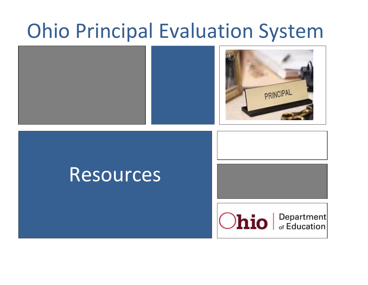# Ohio Principal Evaluation System





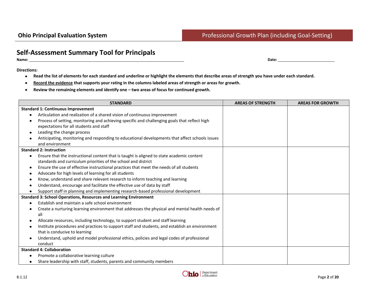## **Self-Assessment Summary Tool for Principals**

**Name: Date:** 

**Directions:**

- **Read the list of elements for each standard and underline or highlight the elements that describe areas of strength you have under each standard.**
- **Record the evidence that supports your rating in the columns labeled areas of strength or areas for growth.**  $\bullet$
- **Review the remaining elements and identify one – two areas of focus for continued growth.**  $\bullet$

| <b>STANDARD</b>                                                                                        | <b>AREAS OF STRENGTH</b> | <b>AREAS FOR GROWTH</b> |
|--------------------------------------------------------------------------------------------------------|--------------------------|-------------------------|
| <b>Standard 1: Continuous Improvement</b>                                                              |                          |                         |
| Articulation and realization of a shared vision of continuous improvement                              |                          |                         |
| Process of setting, monitoring and achieving specific and challenging goals that reflect high          |                          |                         |
| expectations for all students and staff                                                                |                          |                         |
| Leading the change process                                                                             |                          |                         |
| Anticipating, monitoring and responding to educational developments that affect schools issues         |                          |                         |
| and environment                                                                                        |                          |                         |
| <b>Standard 2: Instruction</b>                                                                         |                          |                         |
| Ensure that the instructional content that is taught is aligned to state academic content<br>$\bullet$ |                          |                         |
| standards and curriculum priorities of the school and district                                         |                          |                         |
| Ensure the use of effective instructional practices that meet the needs of all students<br>$\bullet$   |                          |                         |
| Advocate for high levels of learning for all students                                                  |                          |                         |
| Know, understand and share relevant research to inform teaching and learning                           |                          |                         |
| Understand, encourage and facilitate the effective use of data by staff                                |                          |                         |
| Support staff in planning and implementing research-based professional development                     |                          |                         |
| <b>Standard 3: School Operations, Resources and Learning Environment</b>                               |                          |                         |
| Establish and maintain a safe school environment                                                       |                          |                         |
| Create a nurturing learning environment that addresses the physical and mental health needs of         |                          |                         |
| all                                                                                                    |                          |                         |
| Allocate resources, including technology, to support student and staff learning<br>$\bullet$           |                          |                         |
| Institute procedures and practices to support staff and students, and establish an environment         |                          |                         |
| that is conducive to learning                                                                          |                          |                         |
| Understand, uphold and model professional ethics, policies and legal codes of professional             |                          |                         |
| conduct                                                                                                |                          |                         |
| <b>Standard 4: Collaboration</b>                                                                       |                          |                         |
| Promote a collaborative learning culture                                                               |                          |                         |
| Share leadership with staff, students, parents and community members                                   |                          |                         |

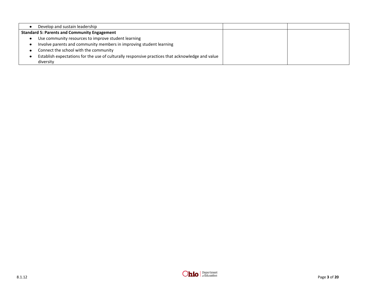| Develop and sustain leadership                                                                   |  |
|--------------------------------------------------------------------------------------------------|--|
| <b>Standard 5: Parents and Community Engagement</b>                                              |  |
| Use community resources to improve student learning                                              |  |
| Involve parents and community members in improving student learning                              |  |
| Connect the school with the community                                                            |  |
| Establish expectations for the use of culturally responsive practices that acknowledge and value |  |
| diversity                                                                                        |  |

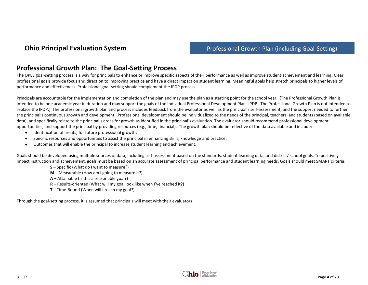## **Professional Growth Plan: The Goal-Setting Process**

The OPES goal-setting process is a way for principals to enhance or improve specific aspects of their performance as well as improve student achievement and learning. Clear professional goals provide focus and direction to improving practice and have a direct impact on student learning. Meaningful goals help stretch principals to higher levels of performance and effectiveness. Professional goal-setting should complement the IPDP process.

Principals are accountable for the implementation and completion of the plan and may use the plan as a starting point for the school year. (The Professional Growth Plan is intended to be one academic year in duration and may support the goals of the Individual Professional Development Plan- IPDP. The Professional Growth Plan is not intended to replace the IPDP.) The professional growth plan and process includes feedback from the evaluator as well as the principal's self-assessment, and the support needed to further the principal's continuous growth and development. Professional development should be individualized to the needs of the principal, teachers, and students (based on available data), and specifically relate to the principal's areas for growth as identified in the principal's evaluation. The evaluator should recommend professional development opportunities, and support the principal by providing resources (e.g., time, financial). The growth plan should be reflective of the data available and include:

- $\bullet$ Identification of area(s) for future professional growth;
- Specific resources and opportunities to assist the principal in enhancing skills, knowledge and practice;  $\bullet$
- Outcomes that will enable the principal to increase student learning and achievement.  $\bullet$

Goals should be developed using multiple sources of data, including self-assessment based on the standards, student learning data, and district/ school goals. To positively impact instruction and achievement, goals must be based on an accurate assessment of principal performance and student learning needs. Goals should meet SMART criteria:

- **S** Specific (What do I want to measure?)
- **M** Measurable (How am I going to measure it?)
- **A** Attainable (Is this a reasonable goal?)
- **R** Results-oriented (What will my goal look like when I've reached it?)
- **T** Time-Bound (When will I reach my goal?)

Through the goal-setting process, it is assumed that principals will meet with their evaluators.

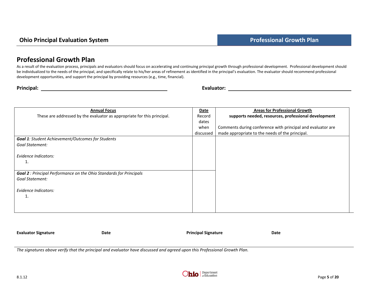## **Professional Growth Plan**

As a result of the evaluation process, principals and evaluators should focus on accelerating and continuing principal growth through professional development. Professional development should be individualized to the needs of the principal, and specifically relate to his/her areas of refinement as identified in the principal's evaluation. The evaluator should recommend professional development opportunities, and support the principal by providing resources (e.g., time, financial).

| Principal: |  |
|------------|--|

**Principal:** Evaluator: **Principal:** Evaluator: **Principal:** Principal: Principal: Principal: Principal: Principal: Principal: Principal: Principal: Principal: Principal: Principal: Principal: Principal: Principal: Princip

| <b>Annual Focus</b>                                                        | <b>Date</b> | <b>Areas for Professional Growth</b>                        |
|----------------------------------------------------------------------------|-------------|-------------------------------------------------------------|
| These are addressed by the evaluator as appropriate for this principal.    | Record      | supports needed, resources, professional development        |
|                                                                            | dates       |                                                             |
|                                                                            | when        | Comments during conference with principal and evaluator are |
|                                                                            | discussed   | made appropriate to the needs of the principal.             |
| <b>Goal 1:</b> Student Achievement/Outcomes for Students                   |             |                                                             |
| <b>Goal Statement:</b>                                                     |             |                                                             |
|                                                                            |             |                                                             |
| Evidence Indicators:                                                       |             |                                                             |
|                                                                            |             |                                                             |
|                                                                            |             |                                                             |
| <b>Goal 2</b> : Principal Performance on the Ohio Standards for Principals |             |                                                             |
| Goal Statement:                                                            |             |                                                             |
|                                                                            |             |                                                             |
| Evidence Indicators:                                                       |             |                                                             |
|                                                                            |             |                                                             |
|                                                                            |             |                                                             |
|                                                                            |             |                                                             |
|                                                                            |             |                                                             |

**Evaluator Signature Date Principal Signature Date**

*The signatures above verify that the principal and evaluator have discussed and agreed upon this Professional Growth Plan.*

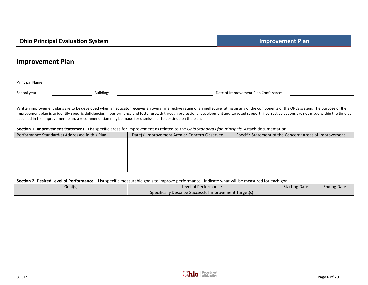#### **Improvement Plan**

Principal Name:

School year: School year: Building: Building: Building: Date of Improvement Plan Conference:

Written improvement plans are to be developed when an educator receives an overall ineffective rating or an ineffective rating on any of the components of the OPES system. The purpose of the improvement plan is to identify specific deficiencies in performance and foster growth through professional development and targeted support. If corrective actions are not made within the time as specified in the improvement plan, a recommendation may be made for dismissal or to continue on the plan.

#### **Section 1: Improvement Statement** - List specific areas for improvement as related to the *Ohio Standards for Principals*. Attach documentation.

| Performance Standard(s) Addressed in this Plan | Date(s) Improvement Area or Concern Observed | Specific Statement of the Concern: Areas of Improvement |
|------------------------------------------------|----------------------------------------------|---------------------------------------------------------|
|                                                |                                              |                                                         |
|                                                |                                              |                                                         |
|                                                |                                              |                                                         |
|                                                |                                              |                                                         |
|                                                |                                              |                                                         |
|                                                |                                              |                                                         |

#### **Section 2: Desired Level of Performance** – List specific measurable goals to improve performance. Indicate what will be measured for each goal.

|         | ີ                                                      | ີ                    |                    |
|---------|--------------------------------------------------------|----------------------|--------------------|
| Goal(s) | Level of Performance                                   | <b>Starting Date</b> | <b>Ending Date</b> |
|         | Specifically Describe Successful Improvement Target(s) |                      |                    |
|         |                                                        |                      |                    |
|         |                                                        |                      |                    |
|         |                                                        |                      |                    |
|         |                                                        |                      |                    |
|         |                                                        |                      |                    |
|         |                                                        |                      |                    |
|         |                                                        |                      |                    |

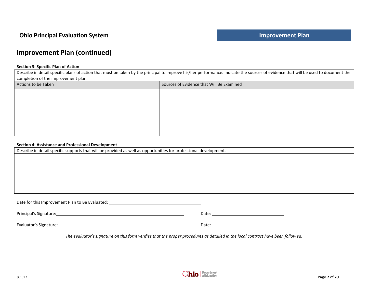## **Improvement Plan (continued)**

#### **Section 3: Specific Plan of Action**

Describe in detail specific plans of action that must be taken by the principal to improve his/her performance. Indicate the sources of evidence that will be used to document the completion of the improvement plan.

| Actions to be Taken | Sources of Evidence that Will Be Examined |
|---------------------|-------------------------------------------|
|                     |                                           |
|                     |                                           |
|                     |                                           |
|                     |                                           |
|                     |                                           |
|                     |                                           |

#### **Section 4: Assistance and Professional Development**

| Describe in detail specific supports that will be provided as well as opportunities for professional development.                                                                                                              |       |  |  |
|--------------------------------------------------------------------------------------------------------------------------------------------------------------------------------------------------------------------------------|-------|--|--|
|                                                                                                                                                                                                                                |       |  |  |
|                                                                                                                                                                                                                                |       |  |  |
|                                                                                                                                                                                                                                |       |  |  |
|                                                                                                                                                                                                                                |       |  |  |
|                                                                                                                                                                                                                                |       |  |  |
|                                                                                                                                                                                                                                |       |  |  |
| Date for this Improvement Plan to Be Evaluated: ________________________________                                                                                                                                               |       |  |  |
| Principal's Signature: Note and the set of the set of the set of the set of the set of the set of the set of the set of the set of the set of the set of the set of the set of the set of the set of the set of the set of the | Date: |  |  |

Evaluator's Signature: Note: Note: Note: Date: Note: Date: Date: Date: Date: Date: Note: Date: Date: Date: Date: Date: Date: Date: Date: Date: Date: Date: Date: Date: Date: Date: Date: Date: Date: Date: Date: Date: Date: D

*The evaluator's signature on this form verifies that the proper procedures as detailed in the local contract have been followed.*

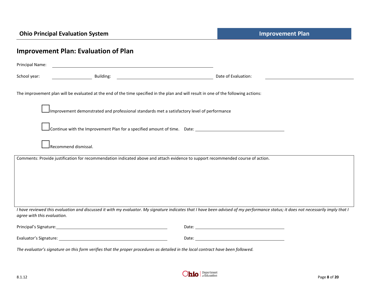|                             | <b>Improvement Plan: Evaluation of Plan</b>                                                                                                         |                                                                                                                                                                                    |
|-----------------------------|-----------------------------------------------------------------------------------------------------------------------------------------------------|------------------------------------------------------------------------------------------------------------------------------------------------------------------------------------|
| Principal Name:             |                                                                                                                                                     |                                                                                                                                                                                    |
| School year:                | Building:                                                                                                                                           | Date of Evaluation:<br><u> 1990 - Johann Barbara, martin a</u>                                                                                                                     |
|                             |                                                                                                                                                     | The improvement plan will be evaluated at the end of the time specified in the plan and will result in one of the following actions:                                               |
|                             | Improvement demonstrated and professional standards met a satisfactory level of performance                                                         |                                                                                                                                                                                    |
|                             |                                                                                                                                                     | Continue with the Improvement Plan for a specified amount of time.  Date:                                                                                                          |
|                             | Recommend dismissal.                                                                                                                                |                                                                                                                                                                                    |
|                             |                                                                                                                                                     | Comments: Provide justification for recommendation indicated above and attach evidence to support recommended course of action.                                                    |
|                             |                                                                                                                                                     |                                                                                                                                                                                    |
|                             |                                                                                                                                                     |                                                                                                                                                                                    |
|                             |                                                                                                                                                     |                                                                                                                                                                                    |
|                             |                                                                                                                                                     |                                                                                                                                                                                    |
| agree with this evaluation. |                                                                                                                                                     | I have reviewed this evaluation and discussed it with my evaluator. My signature indicates that I have been advised of my performance status; it does not necessarily imply that I |
|                             |                                                                                                                                                     |                                                                                                                                                                                    |
|                             |                                                                                                                                                     |                                                                                                                                                                                    |
|                             | $\mathbf{r}$ , $\mathbf{r}$ , $\mathbf{r}$ , $\mathbf{r}$ , $\mathbf{r}$ , $\mathbf{r}$ , $\mathbf{r}$ , $\mathbf{r}$ , $\mathbf{r}$ , $\mathbf{r}$ |                                                                                                                                                                                    |

*The evaluator's signature on this form verifies that the proper procedures as detailed in the local contract have been followed.* 

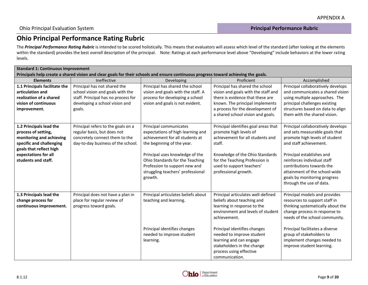## **Ohio Principal Performance Rating Rubric**

The *Principal Performance Rating Rubric* is intended to be scored holistically. This means that evaluators will assess which level of the standard (after looking at the elements within the standard) provides the best *overall* description of the principal. Note: Ratings at each performance level above "Developing" include behaviors at the lower rating levels.

|                                                                                                                                     | <b>Standard 1: Continuous Improvement</b> |                                     |                                      |                                    |  |  |
|-------------------------------------------------------------------------------------------------------------------------------------|-------------------------------------------|-------------------------------------|--------------------------------------|------------------------------------|--|--|
| Principals help create a shared vision and clear goals for their schools and ensure continuous progress toward achieving the goals. |                                           |                                     |                                      |                                    |  |  |
| <b>Elements</b>                                                                                                                     | Ineffective                               | Developing                          | Proficient                           | Accomplished                       |  |  |
| 1.1 Principals facilitate the                                                                                                       | Principal has not shared the              | Principal has shared the school     | Principal has shared the school      | Principal collaboratively develops |  |  |
| articulation and                                                                                                                    | school vision and goals with the          | vision and goals with the staff. A  | vision and goals with the staff and  | and communicates a shared vision   |  |  |
| realization of a shared                                                                                                             | staff. Principal has no process for       | process for developing a school     | there is evidence that these are     | using multiple approaches. The     |  |  |
| vision of continuous                                                                                                                | developing a school vision and            | vision and goals is not evident.    | known. The principal implements      | principal challenges existing      |  |  |
| improvement.                                                                                                                        | goals.                                    |                                     | a process for the development of     | structures based on data to align  |  |  |
|                                                                                                                                     |                                           |                                     | a shared school vision and goals.    | them with the shared vision.       |  |  |
|                                                                                                                                     |                                           |                                     |                                      |                                    |  |  |
| 1.2 Principals lead the                                                                                                             | Principal refers to the goals on a        | Principal communicates              | Principal identifies goal areas that | Principal collaboratively develops |  |  |
| process of setting,                                                                                                                 | regular basis, but does not               | expectations of high learning and   | promote high levels of               | and sets measurable goals that     |  |  |
| monitoring and achieving                                                                                                            | concretely connect them to the            | achievement for all students at     | achievement for all students and     | promote high levels of student     |  |  |
| specific and challenging                                                                                                            | day-to-day business of the school.        | the beginning of the year.          | staff.                               | and staff achievement.             |  |  |
| goals that reflect high                                                                                                             |                                           |                                     |                                      |                                    |  |  |
| expectations for all                                                                                                                |                                           | Principal uses knowledge of the     | Knowledge of the Ohio Standards      | Principal establishes and          |  |  |
| students and staff.                                                                                                                 |                                           | Ohio Standards for the Teaching     | for the Teaching Profession is       | reinforces individual staff        |  |  |
|                                                                                                                                     |                                           | Profession to support new and       | used to support teachers'            | contributions towards the          |  |  |
|                                                                                                                                     |                                           | struggling teachers' professional   | professional growth.                 | attainment of the school-wide      |  |  |
|                                                                                                                                     |                                           | growth.                             |                                      | goals by monitoring progress       |  |  |
|                                                                                                                                     |                                           |                                     |                                      | through the use of data.           |  |  |
|                                                                                                                                     |                                           |                                     |                                      |                                    |  |  |
| 1.3 Principals lead the                                                                                                             | Principal does not have a plan in         | Principal articulates beliefs about | Principal articulates well-defined   | Principal models and provides      |  |  |
| change process for                                                                                                                  | place for regular review of               | teaching and learning.              | beliefs about teaching and           | resources to support staff in      |  |  |
| continuous improvement.                                                                                                             | progress toward goals.                    |                                     | learning in response to the          | thinking systematically about the  |  |  |
|                                                                                                                                     |                                           |                                     | environment and levels of student    | change process in response to      |  |  |
|                                                                                                                                     |                                           |                                     | achievement.                         | needs of the school community.     |  |  |
|                                                                                                                                     |                                           |                                     |                                      |                                    |  |  |
|                                                                                                                                     |                                           | Principal identifies changes        | Principal identifies changes         | Principal facilitates a diverse    |  |  |
|                                                                                                                                     |                                           | needed to improve student           | needed to improve student            | group of stakeholders to           |  |  |
|                                                                                                                                     |                                           | learning.                           | learning and can engage              | implement changes needed to        |  |  |
|                                                                                                                                     |                                           |                                     | stakeholders in the change           | improve student learning.          |  |  |
|                                                                                                                                     |                                           |                                     | process using effective              |                                    |  |  |
|                                                                                                                                     |                                           |                                     | communication.                       |                                    |  |  |

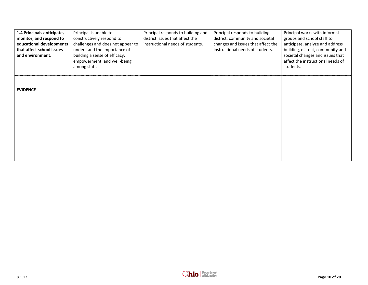| 1.4 Principals anticipate, | Principal is unable to            | Principal responds to building and | Principal responds to building,    | Principal works with informal     |
|----------------------------|-----------------------------------|------------------------------------|------------------------------------|-----------------------------------|
| monitor, and respond to    | constructively respond to         | district issues that affect the    | district, community and societal   | groups and school staff to        |
| educational developments   | challenges and does not appear to | instructional needs of students.   | changes and issues that affect the | anticipate, analyze and address   |
| that affect school issues  | understand the importance of      |                                    | instructional needs of students.   | building, district, community and |
| and environment.           | building a sense of efficacy,     |                                    |                                    | societal changes and issues that  |
|                            | empowerment, and well-being       |                                    |                                    | affect the instructional needs of |
|                            | among staff.                      |                                    |                                    | students.                         |
|                            |                                   |                                    |                                    |                                   |
|                            |                                   |                                    |                                    |                                   |
|                            |                                   |                                    |                                    |                                   |
| <b>EVIDENCE</b>            |                                   |                                    |                                    |                                   |
|                            |                                   |                                    |                                    |                                   |
|                            |                                   |                                    |                                    |                                   |
|                            |                                   |                                    |                                    |                                   |
|                            |                                   |                                    |                                    |                                   |
|                            |                                   |                                    |                                    |                                   |
|                            |                                   |                                    |                                    |                                   |
|                            |                                   |                                    |                                    |                                   |
|                            |                                   |                                    |                                    |                                   |
|                            |                                   |                                    |                                    |                                   |
|                            |                                   |                                    |                                    |                                   |
|                            |                                   |                                    |                                    |                                   |
|                            |                                   |                                    |                                    |                                   |

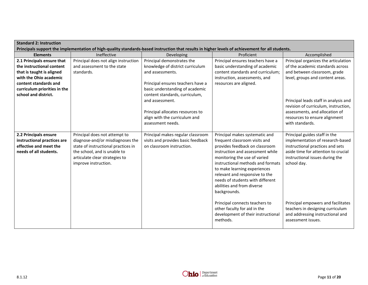| <b>Standard 2: Instruction</b><br>Principals support the implementation of high-quality standards-based instruction that results in higher levels of achievement for all students.              |                                                                                                                                                                                                    |                                                                                                                                                                                                                                                                                                                         |                                                                                                                                                                                                                                                                                                                                                                                                                                                                                    |                                                                                                                                                                                                                                                                                                                                    |  |
|-------------------------------------------------------------------------------------------------------------------------------------------------------------------------------------------------|----------------------------------------------------------------------------------------------------------------------------------------------------------------------------------------------------|-------------------------------------------------------------------------------------------------------------------------------------------------------------------------------------------------------------------------------------------------------------------------------------------------------------------------|------------------------------------------------------------------------------------------------------------------------------------------------------------------------------------------------------------------------------------------------------------------------------------------------------------------------------------------------------------------------------------------------------------------------------------------------------------------------------------|------------------------------------------------------------------------------------------------------------------------------------------------------------------------------------------------------------------------------------------------------------------------------------------------------------------------------------|--|
| <b>Elements</b>                                                                                                                                                                                 | Ineffective                                                                                                                                                                                        |                                                                                                                                                                                                                                                                                                                         | Proficient                                                                                                                                                                                                                                                                                                                                                                                                                                                                         | Accomplished                                                                                                                                                                                                                                                                                                                       |  |
| 2.1 Principals ensure that<br>the instructional content<br>that is taught is aligned<br>with the Ohio academic<br>content standards and<br>curriculum priorities in the<br>school and district. | Principal does not align instruction<br>and assessment to the state<br>standards.                                                                                                                  | Developing<br>Principal demonstrates the<br>knowledge of district curriculum<br>and assessments.<br>Principal ensures teachers have a<br>basic understanding of academic<br>content standards, curriculum,<br>and assessment.<br>Principal allocates resources to<br>align with the curriculum and<br>assessment needs. | Principal ensures teachers have a<br>basic understanding of academic<br>content standards and curriculum;<br>instruction, assessments, and<br>resources are aligned.                                                                                                                                                                                                                                                                                                               | Principal organizes the articulation<br>of the academic standards across<br>and between classroom, grade<br>level, groups and content areas.<br>Principal leads staff in analysis and<br>revision of curriculum, instruction,<br>assessments, and allocation of<br>resources to ensure alignment<br>with standards.                |  |
| 2.2 Principals ensure<br>instructional practices are<br>effective and meet the<br>needs of all students.                                                                                        | Principal does not attempt to<br>diagnose-and/or misdiagnoses the<br>state of instructional practices in<br>the school, and is unable to<br>articulate clear strategies to<br>improve instruction. | Principal makes regular classroom<br>visits and provides basic feedback<br>on classroom instruction.                                                                                                                                                                                                                    | Principal makes systematic and<br>frequent classroom visits and<br>provides feedback on classroom<br>instruction and assessment while<br>monitoring the use of varied<br>instructional methods and formats<br>to make learning experiences<br>relevant and responsive to the<br>needs of students with different<br>abilities and from diverse<br>backgrounds.<br>Principal connects teachers to<br>other faculty for aid in the<br>development of their instructional<br>methods. | Principal guides staff in the<br>implementation of research-based<br>instructional practices and sets<br>aside time for attention to crucial<br>instructional issues during the<br>school day.<br>Principal empowers and facilitates<br>teachers in designing curriculum<br>and addressing instructional and<br>assessment issues. |  |

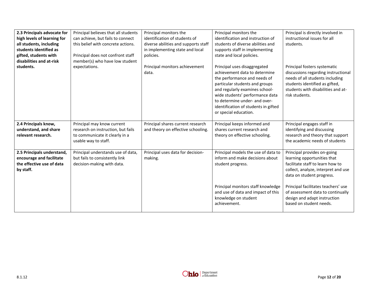| 2.3 Principals advocate for<br>high levels of learning for<br>all students, including<br>students identified as<br>gifted, students with | Principal believes that all students<br>can achieve, but fails to connect<br>this belief with concrete actions.<br>Principal does not confront staff<br>member(s) who have low student | Principal monitors the<br>identification of students of<br>diverse abilities and supports staff<br>in implementing state and local<br>policies. | Principal monitors the<br>identification and instruction of<br>students of diverse abilities and<br>supports staff in implementing<br>state and local policies.                                                                                                                                        | Principal is directly involved in<br>instructional issues for all<br>students.                                                                                                                   |  |
|------------------------------------------------------------------------------------------------------------------------------------------|----------------------------------------------------------------------------------------------------------------------------------------------------------------------------------------|-------------------------------------------------------------------------------------------------------------------------------------------------|--------------------------------------------------------------------------------------------------------------------------------------------------------------------------------------------------------------------------------------------------------------------------------------------------------|--------------------------------------------------------------------------------------------------------------------------------------------------------------------------------------------------|--|
| disabilities and at-risk<br>students.                                                                                                    | expectations.                                                                                                                                                                          | Principal monitors achievement<br>data.                                                                                                         | Principal uses disaggregated<br>achievement data to determine<br>the performance and needs of<br>particular students and groups<br>and regularly examines school-<br>wide students' performance data<br>to determine under- and over-<br>identification of students in gifted<br>or special education. | Principal fosters systematic<br>discussions regarding instructional<br>needs of all students including<br>students identified as gifted,<br>students with disabilities and at-<br>risk students. |  |
| 2.4 Principals know,<br>understand, and share<br>relevant research.                                                                      | Principal may know current<br>research on instruction, but fails<br>to communicate it clearly in a<br>usable way to staff.                                                             | Principal shares current research<br>and theory on effective schooling.                                                                         | Principal keeps informed and<br>shares current research and<br>theory on effective schooling.                                                                                                                                                                                                          | Principal engages staff in<br>identifying and discussing<br>research and theory that support<br>the academic needs of students                                                                   |  |
| 2.5 Principals understand,<br>encourage and facilitate<br>the effective use of data<br>by staff.                                         | Principal understands use of data,<br>but fails to consistently link<br>decision-making with data.                                                                                     | Principal uses data for decision-<br>making.                                                                                                    | Principal models the use of data to<br>inform and make decisions about<br>student progress.                                                                                                                                                                                                            | Principal provides on-going<br>learning opportunities that<br>facilitate staff to learn how to<br>collect, analyze, interpret and use<br>data on student progress.                               |  |
|                                                                                                                                          |                                                                                                                                                                                        |                                                                                                                                                 | Principal monitors staff knowledge<br>and use of data and impact of this<br>knowledge on student<br>achievement.                                                                                                                                                                                       | Principal facilitates teachers' use<br>of assessment data to continually<br>design and adapt instruction<br>based on student needs.                                                              |  |

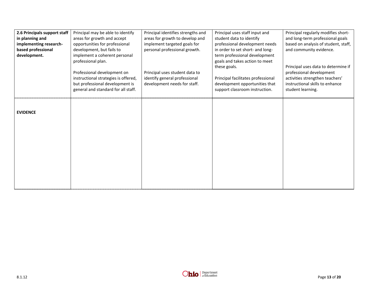| 2.6 Principals support staff | Principal may be able to identify    | Principal identifies strengths and | Principal uses staff input and     | Principal regularly modifies short-  |
|------------------------------|--------------------------------------|------------------------------------|------------------------------------|--------------------------------------|
| in planning and              | areas for growth and accept          | areas for growth to develop and    | student data to identify           | and long-term professional goals     |
| implementing research-       | opportunities for professional       | implement targeted goals for       | professional development needs     | based on analysis of student, staff, |
| based professional           | development, but fails to            | personal professional growth.      | in order to set short- and long-   | and community evidence.              |
| development.                 | implement a coherent personal        |                                    | term professional development      |                                      |
|                              | professional plan.                   |                                    | goals and takes action to meet     |                                      |
|                              |                                      |                                    | these goals.                       | Principal uses data to determine if  |
|                              | Professional development on          | Principal uses student data to     |                                    | professional development             |
|                              | instructional strategies is offered, | identify general professional      | Principal facilitates professional | activities strengthen teachers'      |
|                              | but professional development is      | development needs for staff.       | development opportunities that     | instructional skills to enhance      |
|                              | general and standard for all staff.  |                                    | support classroom instruction.     | student learning.                    |
|                              |                                      |                                    |                                    |                                      |
|                              |                                      |                                    |                                    |                                      |
|                              |                                      |                                    |                                    |                                      |
| <b>EVIDENCE</b>              |                                      |                                    |                                    |                                      |
|                              |                                      |                                    |                                    |                                      |
|                              |                                      |                                    |                                    |                                      |
|                              |                                      |                                    |                                    |                                      |
|                              |                                      |                                    |                                    |                                      |
|                              |                                      |                                    |                                    |                                      |
|                              |                                      |                                    |                                    |                                      |
|                              |                                      |                                    |                                    |                                      |
|                              |                                      |                                    |                                    |                                      |
|                              |                                      |                                    |                                    |                                      |
|                              |                                      |                                    |                                    |                                      |
|                              |                                      |                                    |                                    |                                      |
|                              |                                      |                                    |                                    |                                      |
|                              |                                      |                                    |                                    |                                      |

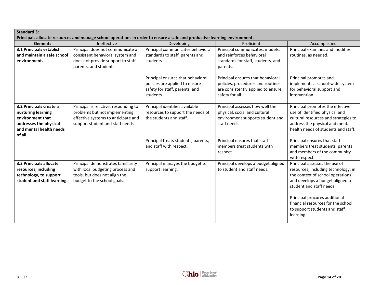| <b>Standard 3:</b><br>Principals allocate resources and manage school operations in order to ensure a safe and productive learning environment. |                                                                                                                                                  |                                                                                                                    |                                                                                                                                 |                                                                                                                                                                                                           |  |  |
|-------------------------------------------------------------------------------------------------------------------------------------------------|--------------------------------------------------------------------------------------------------------------------------------------------------|--------------------------------------------------------------------------------------------------------------------|---------------------------------------------------------------------------------------------------------------------------------|-----------------------------------------------------------------------------------------------------------------------------------------------------------------------------------------------------------|--|--|
| <b>Elements</b>                                                                                                                                 | Ineffective                                                                                                                                      | Developing                                                                                                         | Proficient                                                                                                                      | Accomplished                                                                                                                                                                                              |  |  |
| 3.1 Principals establish<br>and maintain a safe school<br>environment.                                                                          | Principal does not communicate a<br>consistent behavioral system and<br>does not provide support to staff,<br>parents, and students.             | Principal communicates behavioral<br>standards to staff, parents and<br>students.                                  | Principal communicates, models,<br>and reinforces behavioral<br>standards for staff, students, and<br>parents.                  | Principal examines and modifies<br>routines, as needed.                                                                                                                                                   |  |  |
|                                                                                                                                                 |                                                                                                                                                  | Principal ensures that behavioral<br>policies are applied to ensure<br>safety for staff, parents, and<br>students. | Principal ensures that behavioral<br>policies, procedures and routines<br>are consistently applied to ensure<br>safety for all. | Principal promotes and<br>implements a school-wide system<br>for behavioral support and<br>intervention.                                                                                                  |  |  |
| 3.2 Principals create a<br>nurturing learning<br>environment that<br>addresses the physical<br>and mental health needs<br>of all.               | Principal is reactive, responding to<br>problems but not implementing<br>effective systems to anticipate and<br>support student and staff needs. | Principal identifies available<br>resources to support the needs of<br>the students and staff.                     | Principal assesses how well the<br>physical, social and cultural<br>environment supports student and<br>staff needs.            | Principal promotes the effective<br>use of identified physical and<br>cultural resources and strategies to<br>address the physical and mental<br>health needs of students and staff.                      |  |  |
|                                                                                                                                                 |                                                                                                                                                  | Principal treats students, parents,<br>and staff with respect.                                                     | Principal ensures that staff<br>members treat students with<br>respect.                                                         | Principal ensures that staff<br>members treat students, parents<br>and members of the community<br>with respect.                                                                                          |  |  |
| 3.3 Principals allocate<br>resources, including<br>technology, to support<br>student and staff learning.                                        | Principal demonstrates familiarity<br>with local budgeting process and<br>tools, but does not align the<br>budget to the school goals.           | Principal manages the budget to<br>support learning.                                                               | Principal develops a budget aligned<br>to student and staff needs.                                                              | Principal assesses the use of<br>resources, including technology, in<br>the context of school operations<br>and develops a budget aligned to<br>student and staff needs.<br>Principal procures additional |  |  |
|                                                                                                                                                 |                                                                                                                                                  |                                                                                                                    |                                                                                                                                 | financial resources for the school<br>to support students and staff<br>learning.                                                                                                                          |  |  |

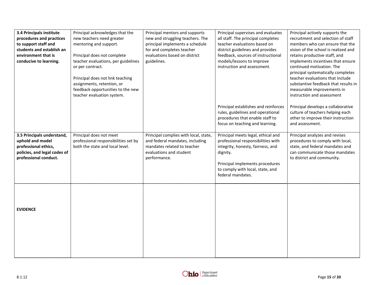| 3.4 Principals institute<br>procedures and practices<br>to support staff and<br>students and establish an<br>environment that is<br>conducive to learning. | Principal acknowledges that the<br>new teachers need greater<br>mentoring and support.<br>Principal does not complete<br>teacher evaluations, per guidelines<br>or per contract.<br>Principal does not link teaching<br>assignments, retention, or<br>feedback opportunities to the new<br>teacher evaluation system. | Principal mentors and supports<br>new and struggling teachers. The<br>principal implements a schedule<br>for and completes teacher<br>evaluations based on district<br>guidelines. | Principal supervises and evaluates<br>all staff. The principal completes<br>teacher evaluations based on<br>district guidelines and provides<br>feedback, sources of instructional<br>models/lessons to improve<br>instruction and assessment. | Principal actively supports the<br>recruitment and selection of staff<br>members who can ensure that the<br>vision of the school is realized and<br>retains productive staff, and<br>implements incentives that ensure<br>continued motivation. The<br>principal systematically completes<br>teacher evaluations that include<br>substantive feedback that results in<br>measurable improvements in<br>instruction and assessment |
|------------------------------------------------------------------------------------------------------------------------------------------------------------|-----------------------------------------------------------------------------------------------------------------------------------------------------------------------------------------------------------------------------------------------------------------------------------------------------------------------|------------------------------------------------------------------------------------------------------------------------------------------------------------------------------------|------------------------------------------------------------------------------------------------------------------------------------------------------------------------------------------------------------------------------------------------|-----------------------------------------------------------------------------------------------------------------------------------------------------------------------------------------------------------------------------------------------------------------------------------------------------------------------------------------------------------------------------------------------------------------------------------|
|                                                                                                                                                            |                                                                                                                                                                                                                                                                                                                       |                                                                                                                                                                                    | Principal establishes and reinforces<br>rules, guidelines and operational<br>procedures that enable staff to<br>focus on teaching and learning.                                                                                                | Principal develops a collaborative<br>culture of teachers helping each<br>other to improve their instruction<br>and assessment.                                                                                                                                                                                                                                                                                                   |
| 3.5 Principals understand,<br>uphold and model<br>professional ethics,<br>policies, and legal codes of<br>professional conduct.                            | Principal does not meet<br>professional responsibilities set by<br>both the state and local level.                                                                                                                                                                                                                    | Principal complies with local, state,<br>and federal mandates, including<br>mandates related to teacher<br>evaluations and student<br>performance.                                 | Principal meets legal, ethical and<br>professional responsibilities with<br>integrity, honesty, fairness, and<br>dignity.<br>Principal implements procedures<br>to comply with local, state, and<br>federal mandates.                          | Principal analyzes and revises<br>procedures to comply with local,<br>state, and federal mandates and<br>can communicate those mandates<br>to district and community.                                                                                                                                                                                                                                                             |
| <b>EVIDENCE</b>                                                                                                                                            |                                                                                                                                                                                                                                                                                                                       |                                                                                                                                                                                    |                                                                                                                                                                                                                                                |                                                                                                                                                                                                                                                                                                                                                                                                                                   |

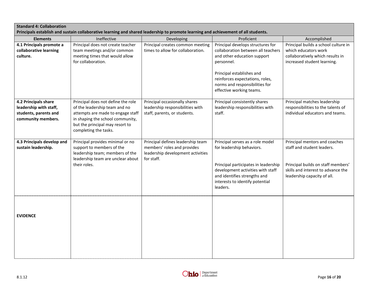| <b>Standard 4: Collaboration</b><br>Principals establish and sustain collaborative learning and shared leadership to promote learning and achievement of all students. |                                                                                                                                                                                                          |                                                                                                                     |                                                                                                                                                                                                                                                    |                                                                                                                                                                        |  |  |  |
|------------------------------------------------------------------------------------------------------------------------------------------------------------------------|----------------------------------------------------------------------------------------------------------------------------------------------------------------------------------------------------------|---------------------------------------------------------------------------------------------------------------------|----------------------------------------------------------------------------------------------------------------------------------------------------------------------------------------------------------------------------------------------------|------------------------------------------------------------------------------------------------------------------------------------------------------------------------|--|--|--|
| <b>Elements</b>                                                                                                                                                        | Ineffective                                                                                                                                                                                              | Developing                                                                                                          | Proficient                                                                                                                                                                                                                                         | Accomplished                                                                                                                                                           |  |  |  |
| 4.1 Principals promote a<br>collaborative learning<br>culture.                                                                                                         | Principal does not create teacher<br>team meetings and/or common<br>meeting times that would allow<br>for collaboration.                                                                                 | Principal creates common meeting<br>times to allow for collaboration.                                               | Principal develops structures for<br>collaboration between all teachers<br>and other education support<br>personnel.<br>Principal establishes and<br>reinforces expectations, roles,<br>norms and responsibilities for<br>effective working teams. | Principal builds a school culture in<br>which educators work<br>collaboratively which results in<br>increased student learning.                                        |  |  |  |
| 4.2 Principals share<br>leadership with staff,<br>students, parents and<br>community members.                                                                          | Principal does not define the role<br>of the leadership team and no<br>attempts are made to engage staff<br>in shaping the school community,<br>but the principal may resort to<br>completing the tasks. | Principal occasionally shares<br>leadership responsibilities with<br>staff, parents, or students.                   | Principal consistently shares<br>leadership responsibilities with<br>staff.                                                                                                                                                                        | Principal matches leadership<br>responsibilities to the talents of<br>individual educators and teams.                                                                  |  |  |  |
| 4.3 Principals develop and<br>sustain leadership.                                                                                                                      | Principal provides minimal or no<br>support to members of the<br>leadership team; members of the<br>leadership team are unclear about<br>their roles.                                                    | Principal defines leadership team<br>members' roles and provides<br>leadership development activities<br>for staff. | Principal serves as a role model<br>for leadership behaviors.<br>Principal participates in leadership<br>development activities with staff<br>and identifies strengths and<br>interests to identify potential<br>leaders.                          | Principal mentors and coaches<br>staff and student leaders.<br>Principal builds on staff members'<br>skills and interest to advance the<br>leadership capacity of all. |  |  |  |
| <b>EVIDENCE</b>                                                                                                                                                        |                                                                                                                                                                                                          |                                                                                                                     |                                                                                                                                                                                                                                                    |                                                                                                                                                                        |  |  |  |

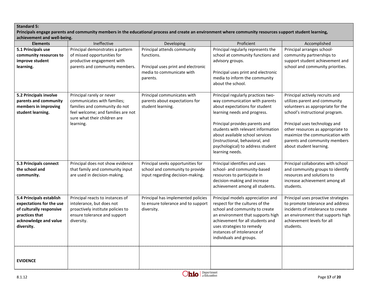#### **Standard 5:**

**Principals engage parents and community members in the educational process and create an environment where community resources support student learning, achievement and well-being.** 

| <b>Elements</b>                                                                                                                           | Ineffective                                                                                                                                                                  | Developing                                                                                                                | Proficient                                                                                                                                                                                                                                                                                                                                   | Accomplished                                                                                                                                                                                                                                                                                                  |  |
|-------------------------------------------------------------------------------------------------------------------------------------------|------------------------------------------------------------------------------------------------------------------------------------------------------------------------------|---------------------------------------------------------------------------------------------------------------------------|----------------------------------------------------------------------------------------------------------------------------------------------------------------------------------------------------------------------------------------------------------------------------------------------------------------------------------------------|---------------------------------------------------------------------------------------------------------------------------------------------------------------------------------------------------------------------------------------------------------------------------------------------------------------|--|
| 5.1 Principals use<br>community resources to<br>improve student<br>learning.                                                              | Principal demonstrates a pattern<br>of missed opportunities for<br>productive engagement with<br>parents and community members.                                              | Principal attends community<br>functions.<br>Principal uses print and electronic<br>media to communicate with<br>parents. | Principal regularly represents the<br>school at community functions and<br>advisory groups.<br>Principal uses print and electronic<br>media to inform the community<br>about the school.                                                                                                                                                     | Principal arranges school-<br>community partnerships to<br>support student achievement and<br>school and community priorities.                                                                                                                                                                                |  |
| 5.2 Principals involve<br>parents and community<br>members in improving<br>student learning.                                              | Principal rarely or never<br>communicates with families;<br>families and community do not<br>feel welcome; and families are not<br>sure what their children are<br>learning. | Principal communicates with<br>parents about expectations for<br>student learning.                                        | Principal regularly practices two-<br>way communication with parents<br>about expectations for student<br>learning needs and progress.<br>Principal provides parents and<br>students with relevant information<br>about available school services<br>(instructional, behavioral, and<br>psychological) to address student<br>learning needs. | Principal actively recruits and<br>utilizes parent and community<br>volunteers as appropriate for the<br>school's instructional program.<br>Principal uses technology and<br>other resources as appropriate to<br>maximize the communication with<br>parents and community members<br>about student learning. |  |
| 5.3 Principals connect<br>the school and<br>community.                                                                                    | Principal does not show evidence<br>that family and community input<br>are used in decision-making.                                                                          | Principal seeks opportunities for<br>school and community to provide<br>input regarding decision-making.                  | Principal identifies and uses<br>school- and community-based<br>resources to participate in<br>decision-making and increase<br>achievement among all students.                                                                                                                                                                               | Principal collaborates with school<br>and community groups to identify<br>resources and solutions to<br>increase achievement among all<br>students.                                                                                                                                                           |  |
| 5.4 Principals establish<br>expectations for the use<br>of culturally responsive<br>practices that<br>acknowledge and value<br>diversity. | Principal reacts to instances of<br>intolerance, but does not<br>proactively institute policies to<br>ensure tolerance and support<br>diversity.                             | Principal has implemented policies<br>to ensure tolerance and to support<br>diversity.                                    | Principal models appreciation and<br>respect for the cultures of the<br>school and community to create<br>an environment that supports high<br>achievement for all students and<br>uses strategies to remedy<br>instances of intolerance of<br>individuals and groups.                                                                       | Principal uses proactive strategies<br>to promote tolerance and address<br>incidents of intolerance to create<br>an environment that supports high<br>achievement levels for all<br>students.                                                                                                                 |  |
| <b>EVIDENCE</b>                                                                                                                           |                                                                                                                                                                              |                                                                                                                           |                                                                                                                                                                                                                                                                                                                                              |                                                                                                                                                                                                                                                                                                               |  |

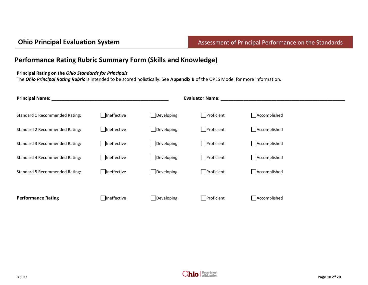## **Performance Rating Rubric Summary Form (Skills and Knowledge)**

#### **Principal Rating on the** *Ohio Standards for Principals*

The *Ohio Principal Rating Rubric* is intended to be scored holistically. See **Appendix B** of the OPES Model for more information.

| <b>Principal Name:</b>                |                    |            | <b>Evaluator Name:</b> |              |  |  |
|---------------------------------------|--------------------|------------|------------------------|--------------|--|--|
| Standard 1 Recommended Rating:        | Ineffective        | Developing | Proficient             | Accomplished |  |  |
| Standard 2 Recommended Rating:        | <b>Ineffective</b> | Developing | $\Box$ Proficient      | Accomplished |  |  |
| <b>Standard 3 Recommended Rating:</b> | Ineffective        | Developing | Proficient             | Accomplished |  |  |
| Standard 4 Recommended Rating:        | Ineffective        | Developing | Proficient             | Accomplished |  |  |
| Standard 5 Recommended Rating:        | □ Ineffective      | Developing | Proficient             | Accomplished |  |  |
|                                       |                    |            |                        |              |  |  |
| <b>Performance Rating</b>             | Ineffective        | Developing | Proficient             | Accomplished |  |  |

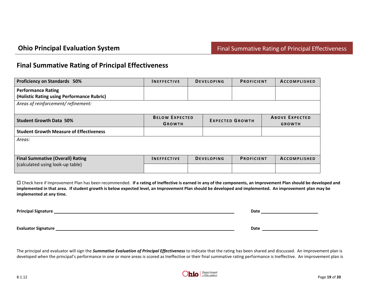### **Final Summative Rating of Principal Effectiveness**

| <b>INEFFECTIVE</b>    |  |  | <b>PROFICIENT</b>                      |                        | ACCOMPLISHED        |  |
|-----------------------|--|--|----------------------------------------|------------------------|---------------------|--|
|                       |  |  |                                        |                        |                     |  |
|                       |  |  |                                        |                        |                     |  |
|                       |  |  |                                        |                        |                     |  |
|                       |  |  |                                        |                        |                     |  |
| <b>BELOW EXPECTED</b> |  |  |                                        | <b>ABOVE EXPECTED</b>  |                     |  |
| <b>GROWTH</b>         |  |  |                                        |                        | <b>GROWTH</b>       |  |
|                       |  |  |                                        |                        |                     |  |
|                       |  |  |                                        |                        |                     |  |
|                       |  |  |                                        |                        |                     |  |
|                       |  |  |                                        |                        |                     |  |
| <b>INEFFECTIVE</b>    |  |  |                                        |                        | <b>ACCOMPLISHED</b> |  |
|                       |  |  |                                        |                        |                     |  |
|                       |  |  | <b>DEVELOPING</b><br><b>DEVELOPING</b> | <b>EXPECTED GROWTH</b> | <b>PROFICIENT</b>   |  |

 Check here if Improvement Plan has been recommended. **If a rating of Ineffective is earned in any of the components, an Improvement Plan should be developed and implemented in that area. If student growth is below expected level, an Improvement Plan should be developed and implemented. An improvement plan may be implemented at any time.** 

**Principal Signature Date 2020 Date 2020 Date 2020 Date 2020 Date 2020 Date 2020 Date 2020 Date 2020 Date 2020 Date 2020 Date 2020 Date 2020 Date 2020 Date 2020 Date 2020 Date 2020 Date 20** 

**Evaluator Signature Example 2018 Date 2018 Date 2018 Date 2018 Date 2018 Date 2018 Date 2018 Date 2018 Date 2018 Date 2018 Date 2018 Date 2018 Date 2018 Date 2018 Date 2018 Date 2018 Date** 

The principal and evaluator will sign the *Summative Evaluation of Principal Effectiveness* to indicate that the rating has been shared and discussed. An Improvement plan is developed when the principal's performance in one or more areas is scored as Ineffective or their final summative rating performance is Ineffective. An improvement plan is